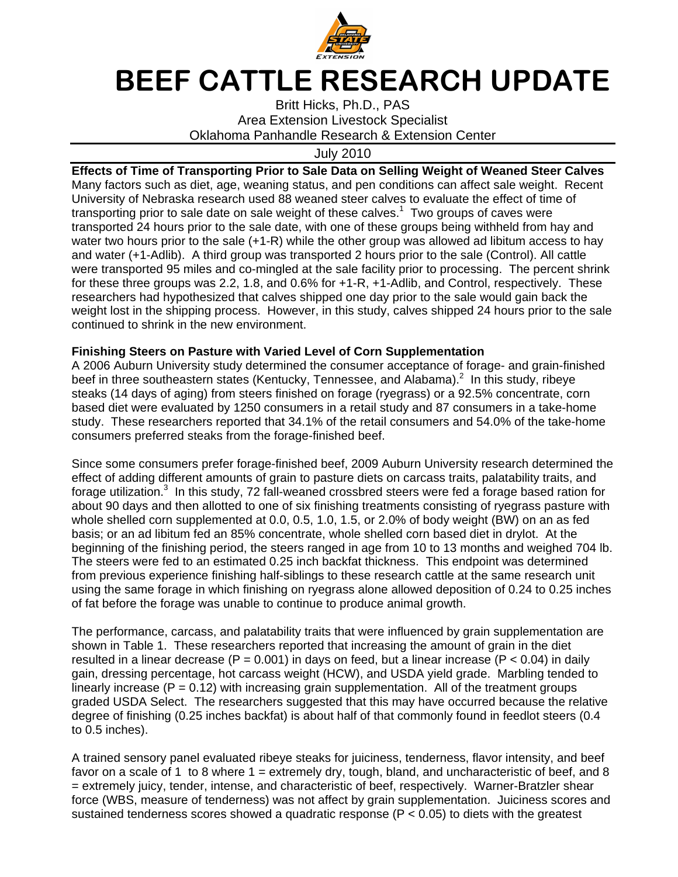

## BEEF CATTLE RESEARCH UPDATE

Britt Hicks, Ph.D., PAS Area Extension Livestock Specialist Oklahoma Panhandle Research & Extension Center

July 2010

**Effects of Time of Transporting Prior to Sale Data on Selling Weight of Weaned Steer Calves**  Many factors such as diet, age, weaning status, and pen conditions can affect sale weight. Recent University of Nebraska research used 88 weaned steer calves to evaluate the effect of time of transporting prior to sale date on sale weight of these calves.<sup>1</sup> Two groups of caves were transported 24 hours prior to the sale date, with one of these groups being withheld from hay and water two hours prior to the sale (+1-R) while the other group was allowed ad libitum access to hay and water (+1-Adlib). A third group was transported 2 hours prior to the sale (Control). All cattle were transported 95 miles and co-mingled at the sale facility prior to processing. The percent shrink for these three groups was 2.2, 1.8, and 0.6% for +1-R, +1-Adlib, and Control, respectively. These researchers had hypothesized that calves shipped one day prior to the sale would gain back the weight lost in the shipping process. However, in this study, calves shipped 24 hours prior to the sale continued to shrink in the new environment.

## **Finishing Steers on Pasture with Varied Level of Corn Supplementation**

A 2006 Auburn University study determined the consumer acceptance of forage- and grain-finished beef in three southeastern states (Kentucky, Tennessee, and Alabama).<sup>2</sup> In this study, ribeye steaks (14 days of aging) from steers finished on forage (ryegrass) or a 92.5% concentrate, corn based diet were evaluated by 1250 consumers in a retail study and 87 consumers in a take-home study. These researchers reported that 34.1% of the retail consumers and 54.0% of the take-home consumers preferred steaks from the forage-finished beef.

Since some consumers prefer forage-finished beef, 2009 Auburn University research determined the effect of adding different amounts of grain to pasture diets on carcass traits, palatability traits, and forage utilization.<sup>3</sup> In this study, 72 fall-weaned crossbred steers were fed a forage based ration for about 90 days and then allotted to one of six finishing treatments consisting of ryegrass pasture with whole shelled corn supplemented at 0.0, 0.5, 1.0, 1.5, or 2.0% of body weight (BW) on an as fed basis; or an ad libitum fed an 85% concentrate, whole shelled corn based diet in drylot. At the beginning of the finishing period, the steers ranged in age from 10 to 13 months and weighed 704 lb. The steers were fed to an estimated 0.25 inch backfat thickness. This endpoint was determined from previous experience finishing half-siblings to these research cattle at the same research unit using the same forage in which finishing on ryegrass alone allowed deposition of 0.24 to 0.25 inches of fat before the forage was unable to continue to produce animal growth.

The performance, carcass, and palatability traits that were influenced by grain supplementation are shown in Table 1. These researchers reported that increasing the amount of grain in the diet resulted in a linear decrease ( $P = 0.001$ ) in days on feed, but a linear increase ( $P < 0.04$ ) in daily gain, dressing percentage, hot carcass weight (HCW), and USDA yield grade. Marbling tended to linearly increase ( $P = 0.12$ ) with increasing grain supplementation. All of the treatment groups graded USDA Select. The researchers suggested that this may have occurred because the relative degree of finishing (0.25 inches backfat) is about half of that commonly found in feedlot steers (0.4 to 0.5 inches).

A trained sensory panel evaluated ribeye steaks for juiciness, tenderness, flavor intensity, and beef favor on a scale of 1 to 8 where  $1 =$  extremely dry, tough, bland, and uncharacteristic of beef, and 8 = extremely juicy, tender, intense, and characteristic of beef, respectively. Warner-Bratzler shear force (WBS, measure of tenderness) was not affect by grain supplementation. Juiciness scores and sustained tenderness scores showed a quadratic response  $(P < 0.05)$  to diets with the greatest